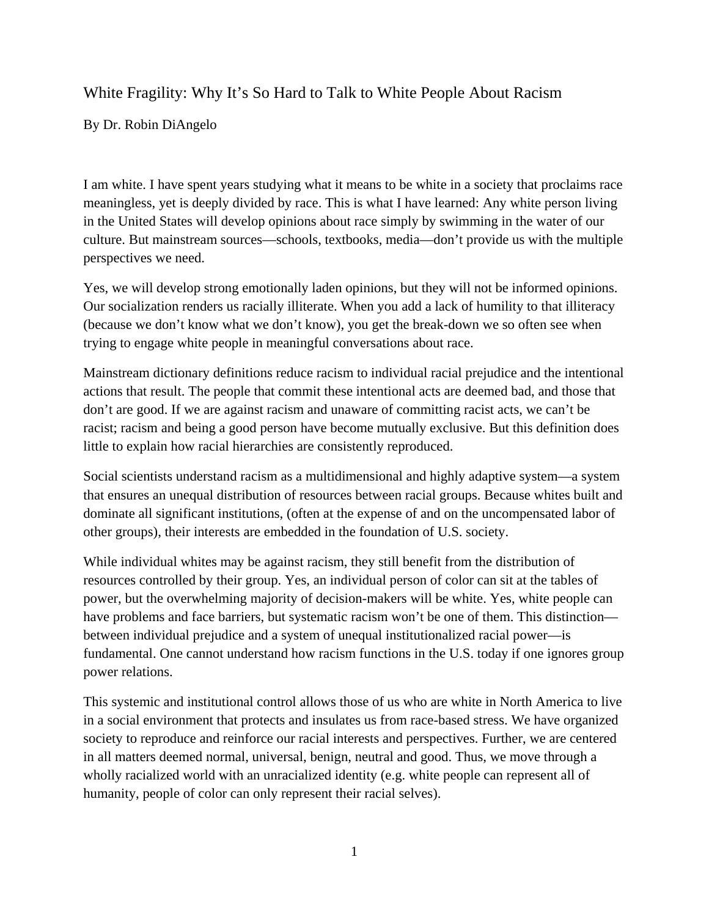## White Fragility: Why It's So Hard to Talk to White People About Racism

By Dr. Robin DiAngelo

I am white. I have spent years studying what it means to be white in a society that proclaims race meaningless, yet is deeply divided by race. This is what I have learned: Any white person living in the United States will develop opinions about race simply by swimming in the water of our culture. But mainstream sources—schools, textbooks, media—don't provide us with the multiple perspectives we need.

Yes, we will develop strong emotionally laden opinions, but they will not be informed opinions. Our socialization renders us racially illiterate. When you add a lack of humility to that illiteracy (because we don't know what we don't know), you get the break-down we so often see when trying to engage white people in meaningful conversations about race.

Mainstream dictionary definitions reduce racism to individual racial prejudice and the intentional actions that result. The people that commit these intentional acts are deemed bad, and those that don't are good. If we are against racism and unaware of committing racist acts, we can't be racist; racism and being a good person have become mutually exclusive. But this definition does little to explain how racial hierarchies are consistently reproduced.

Social scientists understand racism as a multidimensional and highly adaptive system—a system that ensures an unequal distribution of resources between racial groups. Because whites built and dominate all significant institutions, (often at the expense of and on the uncompensated labor of other groups), their interests are embedded in the foundation of U.S. society.

While individual whites may be against racism, they still benefit from the distribution of resources controlled by their group. Yes, an individual person of color can sit at the tables of power, but the overwhelming majority of decision-makers will be white. Yes, white people can have problems and face barriers, but systematic racism won't be one of them. This distinction between individual prejudice and a system of unequal institutionalized racial power—is fundamental. One cannot understand how racism functions in the U.S. today if one ignores group power relations.

This systemic and institutional control allows those of us who are white in North America to live in a social environment that protects and insulates us from race-based stress. We have organized society to reproduce and reinforce our racial interests and perspectives. Further, we are centered in all matters deemed normal, universal, benign, neutral and good. Thus, we move through a wholly racialized world with an unracialized identity (e.g. white people can represent all of humanity, people of color can only represent their racial selves).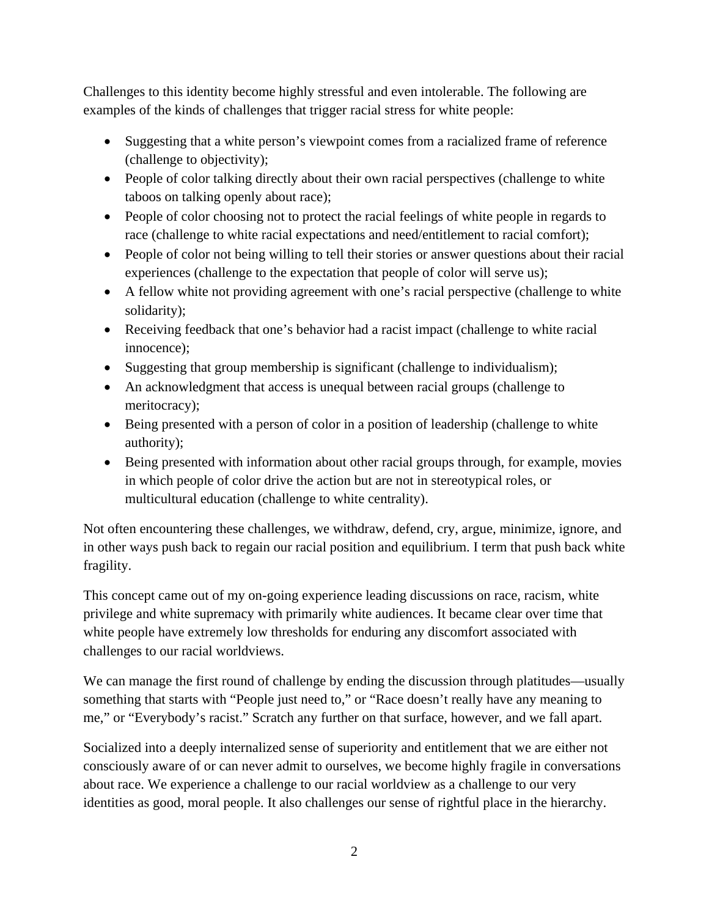Challenges to this identity become highly stressful and even intolerable. The following are examples of the kinds of challenges that trigger racial stress for white people:

- Suggesting that a white person's viewpoint comes from a racialized frame of reference (challenge to objectivity);
- People of color talking directly about their own racial perspectives (challenge to white taboos on talking openly about race);
- People of color choosing not to protect the racial feelings of white people in regards to race (challenge to white racial expectations and need/entitlement to racial comfort);
- People of color not being willing to tell their stories or answer questions about their racial experiences (challenge to the expectation that people of color will serve us);
- A fellow white not providing agreement with one's racial perspective (challenge to white solidarity);
- Receiving feedback that one's behavior had a racist impact (challenge to white racial innocence);
- Suggesting that group membership is significant (challenge to individualism);
- An acknowledgment that access is unequal between racial groups (challenge to meritocracy);
- Being presented with a person of color in a position of leadership (challenge to white authority);
- Being presented with information about other racial groups through, for example, movies in which people of color drive the action but are not in stereotypical roles, or multicultural education (challenge to white centrality).

Not often encountering these challenges, we withdraw, defend, cry, argue, minimize, ignore, and in other ways push back to regain our racial position and equilibrium. I term that push back white fragility.

This concept came out of my on-going experience leading discussions on race, racism, white privilege and white supremacy with primarily white audiences. It became clear over time that white people have extremely low thresholds for enduring any discomfort associated with challenges to our racial worldviews.

We can manage the first round of challenge by ending the discussion through platitudes—usually something that starts with "People just need to," or "Race doesn't really have any meaning to me," or "Everybody's racist." Scratch any further on that surface, however, and we fall apart.

Socialized into a deeply internalized sense of superiority and entitlement that we are either not consciously aware of or can never admit to ourselves, we become highly fragile in conversations about race. We experience a challenge to our racial worldview as a challenge to our very identities as good, moral people. It also challenges our sense of rightful place in the hierarchy.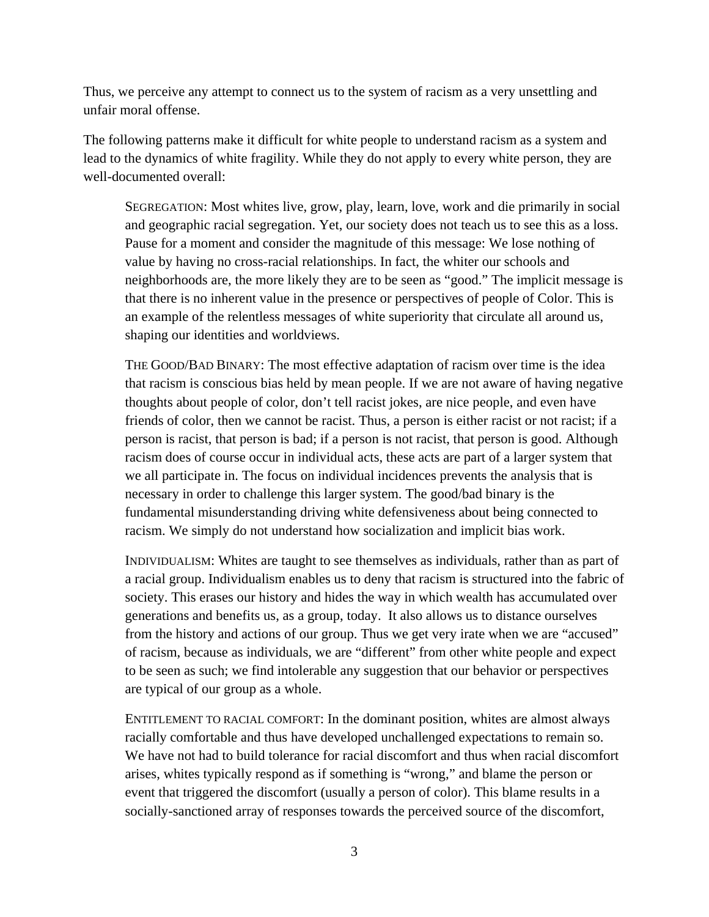Thus, we perceive any attempt to connect us to the system of racism as a very unsettling and unfair moral offense.

The following patterns make it difficult for white people to understand racism as a system and lead to the dynamics of white fragility. While they do not apply to every white person, they are well-documented overall:

SEGREGATION: Most whites live, grow, play, learn, love, work and die primarily in social and geographic racial segregation. Yet, our society does not teach us to see this as a loss. Pause for a moment and consider the magnitude of this message: We lose nothing of value by having no cross-racial relationships. In fact, the whiter our schools and neighborhoods are, the more likely they are to be seen as "good." The implicit message is that there is no inherent value in the presence or perspectives of people of Color. This is an example of the relentless messages of white superiority that circulate all around us, shaping our identities and worldviews.

THE GOOD/BAD BINARY: The most effective adaptation of racism over time is the idea that racism is conscious bias held by mean people. If we are not aware of having negative thoughts about people of color, don't tell racist jokes, are nice people, and even have friends of color, then we cannot be racist. Thus, a person is either racist or not racist; if a person is racist, that person is bad; if a person is not racist, that person is good. Although racism does of course occur in individual acts, these acts are part of a larger system that we all participate in. The focus on individual incidences prevents the analysis that is necessary in order to challenge this larger system. The good/bad binary is the fundamental misunderstanding driving white defensiveness about being connected to racism. We simply do not understand how socialization and implicit bias work.

INDIVIDUALISM: Whites are taught to see themselves as individuals, rather than as part of a racial group. Individualism enables us to deny that racism is structured into the fabric of society. This erases our history and hides the way in which wealth has accumulated over generations and benefits us, as a group, today. It also allows us to distance ourselves from the history and actions of our group. Thus we get very irate when we are "accused" of racism, because as individuals, we are "different" from other white people and expect to be seen as such; we find intolerable any suggestion that our behavior or perspectives are typical of our group as a whole.

ENTITLEMENT TO RACIAL COMFORT: In the dominant position, whites are almost always racially comfortable and thus have developed unchallenged expectations to remain so. We have not had to build tolerance for racial discomfort and thus when racial discomfort arises, whites typically respond as if something is "wrong," and blame the person or event that triggered the discomfort (usually a person of color). This blame results in a socially-sanctioned array of responses towards the perceived source of the discomfort,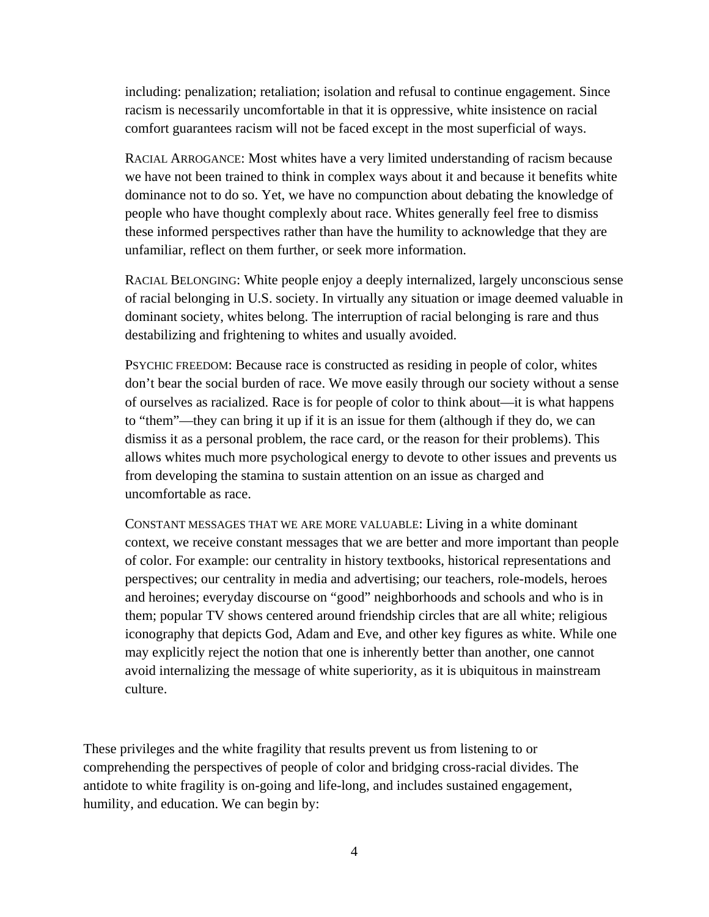including: penalization; retaliation; isolation and refusal to continue engagement. Since racism is necessarily uncomfortable in that it is oppressive, white insistence on racial comfort guarantees racism will not be faced except in the most superficial of ways.

RACIAL ARROGANCE: Most whites have a very limited understanding of racism because we have not been trained to think in complex ways about it and because it benefits white dominance not to do so. Yet, we have no compunction about debating the knowledge of people who have thought complexly about race. Whites generally feel free to dismiss these informed perspectives rather than have the humility to acknowledge that they are unfamiliar, reflect on them further, or seek more information.

RACIAL BELONGING: White people enjoy a deeply internalized, largely unconscious sense of racial belonging in U.S. society. In virtually any situation or image deemed valuable in dominant society, whites belong. The interruption of racial belonging is rare and thus destabilizing and frightening to whites and usually avoided.

PSYCHIC FREEDOM: Because race is constructed as residing in people of color, whites don't bear the social burden of race. We move easily through our society without a sense of ourselves as racialized. Race is for people of color to think about—it is what happens to "them"—they can bring it up if it is an issue for them (although if they do, we can dismiss it as a personal problem, the race card, or the reason for their problems). This allows whites much more psychological energy to devote to other issues and prevents us from developing the stamina to sustain attention on an issue as charged and uncomfortable as race.

CONSTANT MESSAGES THAT WE ARE MORE VALUABLE: Living in a white dominant context, we receive constant messages that we are better and more important than people of color. For example: our centrality in history textbooks, historical representations and perspectives; our centrality in media and advertising; our teachers, role-models, heroes and heroines; everyday discourse on "good" neighborhoods and schools and who is in them; popular TV shows centered around friendship circles that are all white; religious iconography that depicts God, Adam and Eve, and other key figures as white. While one may explicitly reject the notion that one is inherently better than another, one cannot avoid internalizing the message of white superiority, as it is ubiquitous in mainstream culture.

These privileges and the white fragility that results prevent us from listening to or comprehending the perspectives of people of color and bridging cross-racial divides. The antidote to white fragility is on-going and life-long, and includes sustained engagement, humility, and education. We can begin by: